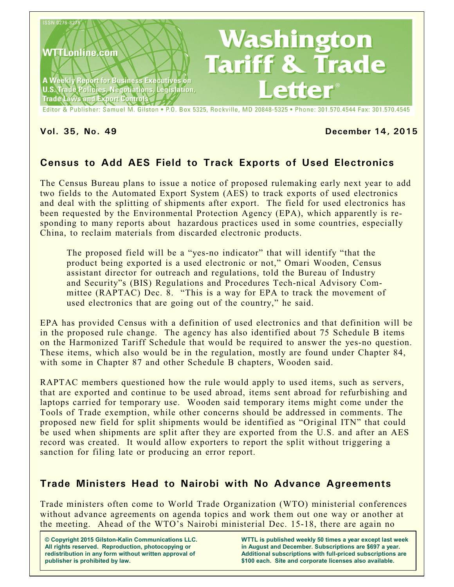

Editor & Publisher: Samuel M. Gilston . P.O. Box 5325, Rockville, MD 20848-5325 . Phone: 301.570.4544 Fax: 301.570.4545

#### **Vol. 35, No. 49 December 14, 2015**

# **Census to Add AES Field to Track Exports of Used Electronics**

The Census Bureau plans to issue a notice of proposed rulemaking early next year to add two fields to the Automated Export System (AES) to track exports of used electronics and deal with the splitting of shipments after export. The field for used electronics has been requested by the Environmental Protection Agency (EPA), which apparently is responding to many reports about hazardous practices used in some countries, especially China, to reclaim materials from discarded electronic products.

The proposed field will be a "yes-no indicator" that will identify "that the product being exported is a used electronic or not," Omari Wooden, Census assistant director for outreach and regulations, told the Bureau of Industry and Security"s (BIS) Regulations and Procedures Tech-nical Advisory Committee (RAPTAC) Dec. 8. "This is a way for EPA to track the movement of used electronics that are going out of the country," he said.

EPA has provided Census with a definition of used electronics and that definition will be in the proposed rule change. The agency has also identified about 75 Schedule B items on the Harmonized Tariff Schedule that would be required to answer the yes-no question. These items, which also would be in the regulation, mostly are found under Chapter 84, with some in Chapter 87 and other Schedule B chapters, Wooden said.

RAPTAC members questioned how the rule would apply to used items, such as servers, that are exported and continue to be used abroad, items sent abroad for refurbishing and laptops carried for temporary use. Wooden said temporary items might come under the Tools of Trade exemption, while other concerns should be addressed in comments. The proposed new field for split shipments would be identified as "Original ITN" that could be used when shipments are split after they are exported from the U.S. and after an AES record was created. It would allow exporters to report the split without triggering a sanction for filing late or producing an error report.

## **Trade Ministers Head to Nairobi with No Advance Agreements**

Trade ministers often come to World Trade Organization (WTO) ministerial conferences without advance agreements on agenda topics and work them out one way or another at the meeting. Ahead of the WTO's Nairobi ministerial Dec. 15-18, there are again no

**© Copyright 2015 Gilston-Kalin Communications LLC. All rights reserved. Reproduction, photocopying or redistribution in any form without written approval of publisher is prohibited by law.** 

**WTTL is published weekly 50 times a year except last week in August and December. Subscriptions are \$697 a year. Additional subscriptions with full-priced subscriptions are \$100 each. Site and corporate licenses also available.**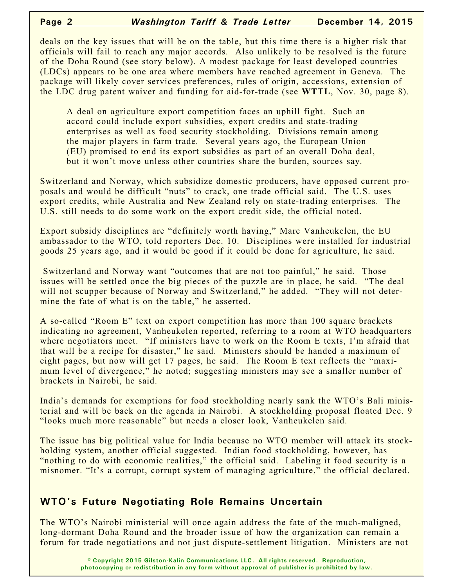deals on the key issues that will be on the table, but this time there is a higher risk that officials will fail to reach any major accords. Also unlikely to be resolved is the future of the Doha Round (see story below). A modest package for least developed countries (LDCs) appears to be one area where members have reached agreement in Geneva. The package will likely cover services preferences, rules of origin, accessions, extension of the LDC drug patent waiver and funding for aid-for-trade (see **WTTL**, Nov. 30, page 8).

A deal on agriculture export competition faces an uphill fight. Such an accord could include export subsidies, export credits and state-trading enterprises as well as food security stockholding. Divisions remain among the major players in farm trade. Several years ago, the European Union (EU) promised to end its export subsidies as part of an overall Doha deal, but it won't move unless other countries share the burden, sources say.

Switzerland and Norway, which subsidize domestic producers, have opposed current proposals and would be difficult "nuts" to crack, one trade official said. The U.S. uses export credits, while Australia and New Zealand rely on state-trading enterprises. The U.S. still needs to do some work on the export credit side, the official noted.

Export subsidy disciplines are "definitely worth having," Marc Vanheukelen, the EU ambassador to the WTO, told reporters Dec. 10. Disciplines were installed for industrial goods 25 years ago, and it would be good if it could be done for agriculture, he said.

Switzerland and Norway want "outcomes that are not too painful," he said. Those issues will be settled once the big pieces of the puzzle are in place, he said. "The deal will not scupper because of Norway and Switzerland," he added. "They will not determine the fate of what is on the table," he asserted.

A so-called "Room E" text on export competition has more than 100 square brackets indicating no agreement, Vanheukelen reported, referring to a room at WTO headquarters where negotiators meet. "If ministers have to work on the Room E texts, I'm afraid that that will be a recipe for disaster," he said. Ministers should be handed a maximum of eight pages, but now will get 17 pages, he said. The Room E text reflects the "maximum level of divergence," he noted; suggesting ministers may see a smaller number of brackets in Nairobi, he said.

India's demands for exemptions for food stockholding nearly sank the WTO's Bali ministerial and will be back on the agenda in Nairobi. A stockholding proposal floated Dec. 9 "looks much more reasonable" but needs a closer look, Vanheukelen said.

The issue has big political value for India because no WTO member will attack its stockholding system, another official suggested. Indian food stockholding, however, has "nothing to do with economic realities," the official said. Labeling it food security is a misnomer. "It's a corrupt, corrupt system of managing agriculture," the official declared.

# **WTO's Future Negotiating Role Remains Uncertain**

The WTO's Nairobi ministerial will once again address the fate of the much-maligned, long-dormant Doha Round and the broader issue of how the organization can remain a forum for trade negotiations and not just dispute-settlement litigation. Ministers are not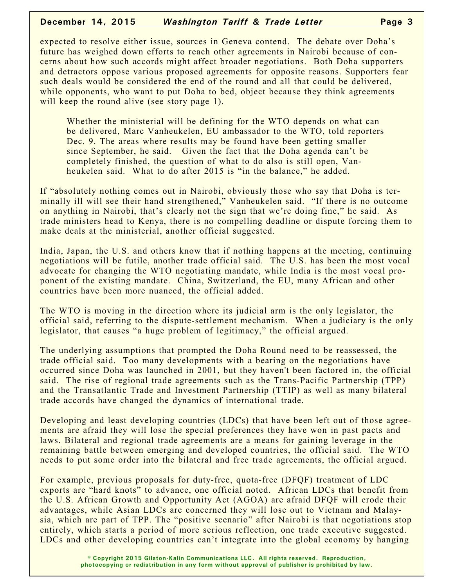#### **December 14, 2015** *Washington Tariff & Trade Letter* **Page 3**

expected to resolve either issue, sources in Geneva contend. The debate over Doha's future has weighed down efforts to reach other agreements in Nairobi because of concerns about how such accords might affect broader negotiations. Both Doha supporters and detractors oppose various proposed agreements for opposite reasons. Supporters fear such deals would be considered the end of the round and all that could be delivered, while opponents, who want to put Doha to bed, object because they think agreements will keep the round alive (see story page 1).

Whether the ministerial will be defining for the WTO depends on what can be delivered, Marc Vanheukelen, EU ambassador to the WTO, told reporters Dec. 9. The areas where results may be found have been getting smaller since September, he said. Given the fact that the Doha agenda can't be completely finished, the question of what to do also is still open, Vanheukelen said. What to do after 2015 is "in the balance," he added.

If "absolutely nothing comes out in Nairobi, obviously those who say that Doha is terminally ill will see their hand strengthened," Vanheukelen said. "If there is no outcome on anything in Nairobi, that's clearly not the sign that we're doing fine," he said. As trade ministers head to Kenya, there is no compelling deadline or dispute forcing them to make deals at the ministerial, another official suggested.

India, Japan, the U.S. and others know that if nothing happens at the meeting, continuing negotiations will be futile, another trade official said. The U.S. has been the most vocal advocate for changing the WTO negotiating mandate, while India is the most vocal proponent of the existing mandate. China, Switzerland, the EU, many African and other countries have been more nuanced, the official added.

The WTO is moving in the direction where its judicial arm is the only legislator, the official said, referring to the dispute-settlement mechanism. When a judiciary is the only legislator, that causes "a huge problem of legitimacy," the official argued.

The underlying assumptions that prompted the Doha Round need to be reassessed, the trade official said. Too many developments with a bearing on the negotiations have occurred since Doha was launched in 2001, but they haven't been factored in, the official said. The rise of regional trade agreements such as the Trans-Pacific Partnership (TPP) and the Transatlantic Trade and Investment Partnership (TTIP) as well as many bilateral trade accords have changed the dynamics of international trade.

Developing and least developing countries (LDCs) that have been left out of those agreements are afraid they will lose the special preferences they have won in past pacts and laws. Bilateral and regional trade agreements are a means for gaining leverage in the remaining battle between emerging and developed countries, the official said. The WTO needs to put some order into the bilateral and free trade agreements, the official argued.

For example, previous proposals for duty-free, quota-free (DFQF) treatment of LDC exports are "hard knots" to advance, one official noted. African LDCs that benefit from the U.S. African Growth and Opportunity Act (AGOA) are afraid DFQF will erode their advantages, while Asian LDCs are concerned they will lose out to Vietnam and Malaysia, which are part of TPP. The "positive scenario" after Nairobi is that negotiations stop entirely, which starts a period of more serious reflection, one trade executive suggested. LDCs and other developing countries can't integrate into the global economy by hanging

> **© Copyright 2015 Gilston-Kalin Communications LLC. All rights reserved. Reproduction, photocopying or redistribution in any form without approval of publisher is prohibited by law.**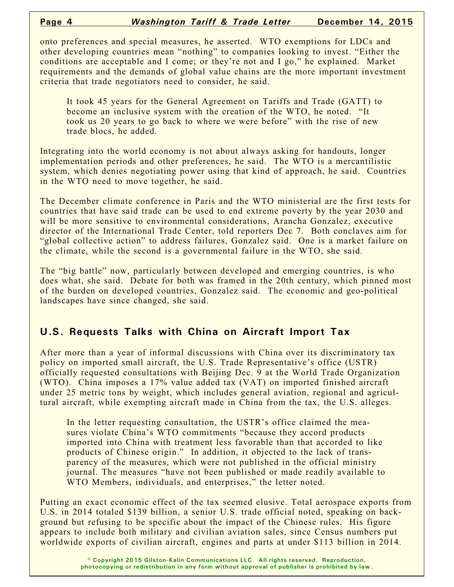onto preferences and special measures, he asserted. WTO exemptions for LDCs and other developing countries mean "nothing" to companies looking to invest. "Either the conditions are acceptable and I come; or they're not and I go," he explained. Market requirements and the demands of global value chains are the more important investment criteria that trade negotiators need to consider, he said.

It took 45 years for the General Agreement on Tariffs and Trade (GATT) to become an inclusive system with the creation of the WTO, he noted. "It took us 20 years to go back to where we were before" with the rise of new trade blocs, he added.

Integrating into the world economy is not about always asking for handouts, longer implementation periods and other preferences, he said. The WTO is a mercantilistic system, which denies negotiating power using that kind of approach, he said. Countries in the WTO need to move together, he said.

The December climate conference in Paris and the WTO ministerial are the first tests for countries that have said trade can be used to end extreme poverty by the year 2030 and will be more sensitive to environmental considerations, Arancha Gonzalez, executive director of the International Trade Center, told reporters Dec 7. Both conclaves aim for "global collective action" to address failures, Gonzalez said. One is a market failure on the climate, while the second is a governmental failure in the WTO, she said.

The "big battle" now, particularly between developed and emerging countries, is who does what, she said. Debate for both was framed in the 20th century, which pinned most of the burden on developed countries, Gonzalez said. The economic and geo-political landscapes have since changed, she said.

# **U.S. Requests Talks with China on Aircraft Import Tax**

After more than a year of informal discussions with China over its discriminatory tax policy on imported small aircraft, the U.S. Trade Representative's office (USTR) officially requested consultations with Beijing Dec. 9 at the World Trade Organization (WTO). China imposes a 17% value added tax (VAT) on imported finished aircraft under 25 metric tons by weight, which includes general aviation, regional and agricultural aircraft, while exempting aircraft made in China from the tax, the U.S. alleges.

In the letter requesting consultation, the USTR's office claimed the measures violate China's WTO commitments "because they accord products imported into China with treatment less favorable than that accorded to like products of Chinese origin." In addition, it objected to the lack of transparency of the measures, which were not published in the official ministry journal. The measures "have not been published or made readily available to WTO Members, individuals, and enterprises," the letter noted.

Putting an exact economic effect of the tax seemed elusive. Total aerospace exports from U.S. in 2014 totaled \$139 billion, a senior U.S. trade official noted, speaking on background but refusing to be specific about the impact of the Chinese rules. His figure appears to include both military and civilian aviation sales, since Census numbers put worldwide exports of civilian aircraft, engines and parts at under \$113 billion in 2014.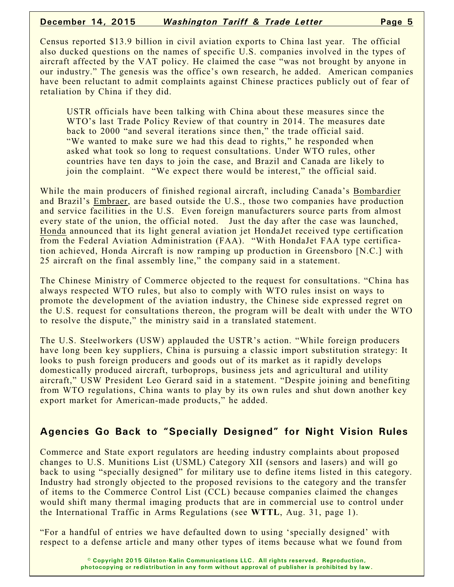#### **December 14, 2015** *Washington Tariff & Trade Letter* **Page 5**

Census reported \$13.9 billion in civil aviation exports to China last year. The official also ducked questions on the names of specific U.S. companies involved in the types of aircraft affected by the VAT policy. He claimed the case "was not brought by anyone in our industry." The genesis was the office's own research, he added. American companies have been reluctant to admit complaints against Chinese practices publicly out of fear of retaliation by China if they did.

USTR officials have been talking with China about these measures since the WTO's last Trade Policy Review of that country in 2014. The measures date back to 2000 "and several iterations since then," the trade official said. "We wanted to make sure we had this dead to rights," he responded when asked what took so long to request consultations. Under WTO rules, other countries have ten days to join the case, and Brazil and Canada are likely to join the complaint. "We expect there would be interest," the official said.

While the main producers of finished regional aircraft, including Canada's Bombardier and Brazil's Embraer, are based outside the U.S., those two companies have production and service facilities in the U.S. Even foreign manufacturers source parts from almost every state of the union, the official noted. Just the day after the case was launched, Honda announced that its light general aviation jet HondaJet received type certification from the Federal Aviation Administration (FAA). "With HondaJet FAA type certification achieved, Honda Aircraft is now ramping up production in Greensboro [N.C.] with 25 aircraft on the final assembly line," the company said in a statement.

The Chinese Ministry of Commerce objected to the request for consultations. "China has always respected WTO rules, but also to comply with WTO rules insist on ways to promote the development of the aviation industry, the Chinese side expressed regret on the U.S. request for consultations thereon, the program will be dealt with under the WTO to resolve the dispute," the ministry said in a translated statement.

The U.S. Steelworkers (USW) applauded the USTR's action. "While foreign producers have long been key suppliers, China is pursuing a classic import substitution strategy: It looks to push foreign producers and goods out of its market as it rapidly develops domestically produced aircraft, turboprops, business jets and agricultural and utility aircraft," USW President Leo Gerard said in a statement. "Despite joining and benefiting from WTO regulations, China wants to play by its own rules and shut down another key export market for American-made products," he added.

# **Agencies Go Back to "Specially Designed" for Night Vision Rules**

Commerce and State export regulators are heeding industry complaints about proposed changes to U.S. Munitions List (USML) Category XII (sensors and lasers) and will go back to using "specially designed" for military use to define items listed in this category. Industry had strongly objected to the proposed revisions to the category and the transfer of items to the Commerce Control List (CCL) because companies claimed the changes would shift many thermal imaging products that are in commercial use to control under the International Traffic in Arms Regulations (see **WTTL**, Aug. 31, page 1).

"For a handful of entries we have defaulted down to using 'specially designed' with respect to a defense article and many other types of items because what we found from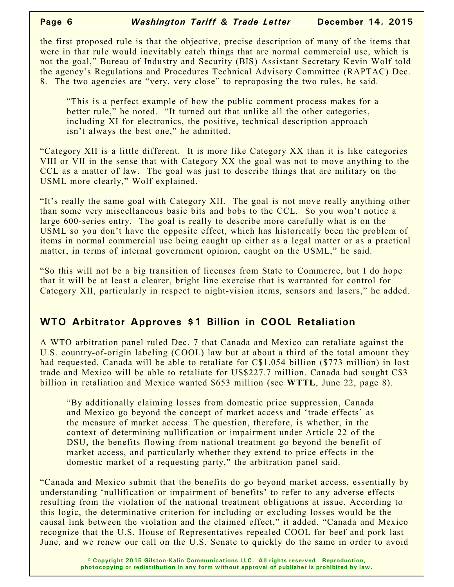the first proposed rule is that the objective, precise description of many of the items that were in that rule would inevitably catch things that are normal commercial use, which is not the goal," Bureau of Industry and Security (BIS) Assistant Secretary Kevin Wolf told the agency's Regulations and Procedures Technical Advisory Committee (RAPTAC) Dec. 8. The two agencies are "very, very close" to reproposing the two rules, he said.

"This is a perfect example of how the public comment process makes for a better rule," he noted. "It turned out that unlike all the other categories, including XI for electronics, the positive, technical description approach isn't always the best one," he admitted.

"Category XII is a little different. It is more like Category XX than it is like categories VIII or VII in the sense that with Category XX the goal was not to move anything to the CCL as a matter of law. The goal was just to describe things that are military on the USML more clearly," Wolf explained.

"It's really the same goal with Category XII. The goal is not move really anything other than some very miscellaneous basic bits and bobs to the CCL. So you won't notice a large 600-series entry. The goal is really to describe more carefully what is on the USML so you don't have the opposite effect, which has historically been the problem of items in normal commercial use being caught up either as a legal matter or as a practical matter, in terms of internal government opinion, caught on the USML," he said.

"So this will not be a big transition of licenses from State to Commerce, but I do hope that it will be at least a clearer, bright line exercise that is warranted for control for Category XII, particularly in respect to night-vision items, sensors and lasers," he added.

# **WTO Arbitrator Approves \$1 Billion in COOL Retaliation**

A WTO arbitration panel ruled Dec. 7 that Canada and Mexico can retaliate against the U.S. country-of-origin labeling (COOL) law but at about a third of the total amount they had requested. Canada will be able to retaliate for C\$1.054 billion (\$773 million) in lost trade and Mexico will be able to retaliate for US\$227.7 million. Canada had sought C\$3 billion in retaliation and Mexico wanted \$653 million (see **WTTL**, June 22, page 8).

"By additionally claiming losses from domestic price suppression, Canada and Mexico go beyond the concept of market access and 'trade effects' as the measure of market access. The question, therefore, is whether, in the context of determining nullification or impairment under Article 22 of the DSU, the benefits flowing from national treatment go beyond the benefit of market access, and particularly whether they extend to price effects in the domestic market of a requesting party," the arbitration panel said.

"Canada and Mexico submit that the benefits do go beyond market access, essentially by understanding 'nullification or impairment of benefits' to refer to any adverse effects resulting from the violation of the national treatment obligations at issue. According to this logic, the determinative criterion for including or excluding losses would be the causal link between the violation and the claimed effect," it added. "Canada and Mexico recognize that the U.S. House of Representatives repealed COOL for beef and pork last June, and we renew our call on the U.S. Senate to quickly do the same in order to avoid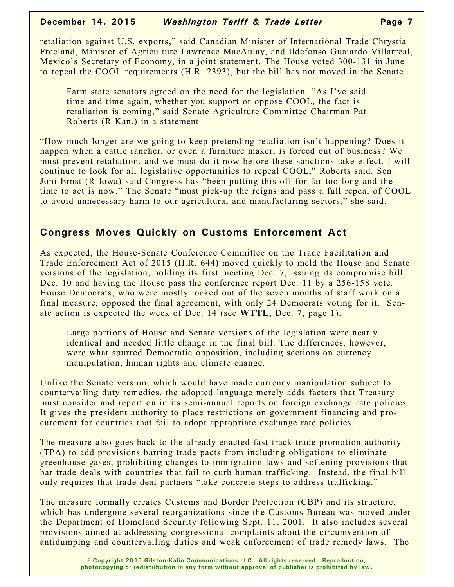retaliation against U.S. exports," said Canadian Minister of International Trade Chrystia Freeland, Minister of Agriculture Lawrence MacAulay, and Ildefonso Guajardo Villarreal, Mexico's Secretary of Economy, in a joint statement. The House voted 300-131 in June to repeal the COOL requirements (H.R. 2393), but the bill has not moved in the Senate.

Farm state senators agreed on the need for the legislation. "As I've said time and time again, whether you support or oppose COOL, the fact is retaliation is coming," said Senate Agriculture Committee Chairman Pat Roberts (R-Kan.) in a statement.

"How much longer are we going to keep pretending retaliation isn't happening? Does it happen when a cattle rancher, or even a furniture maker, is forced out of business? We must prevent retaliation, and we must do it now before these sanctions take effect. I will continue to look for all legislative opportunities to repeal COOL," Roberts said. Sen. Joni Ernst (R-Iowa) said Congress has "been putting this off for far too long and the time to act is now." The Senate "must pick-up the reigns and pass a full repeal of COOL to avoid unnecessary harm to our agricultural and manufacturing sectors," she said.

## **Congress Moves Quickly on Customs Enforcement Act**

As expected, the House-Senate Conference Committee on the Trade Facilitation and Trade Enforcement Act of 2015 (H.R. 644) moved quickly to meld the House and Senate versions of the legislation, holding its first meeting Dec. 7, issuing its compromise bill Dec. 10 and having the House pass the conference report Dec. 11 by a 256-158 vote. House Democrats, who were mostly locked out of the seven months of staff work on a final measure, opposed the final agreement, with only 24 Democrats voting for it. Senate action is expected the week of Dec. 14 (see **WTTL**, Dec. 7, page 1).

Large portions of House and Senate versions of the legislation were nearly identical and needed little change in the final bill. The differences, however, were what spurred Democratic opposition, including sections on currency manipulation, human rights and climate change.

Unlike the Senate version, which would have made currency manipulation subject to countervailing duty remedies, the adopted language merely adds factors that Treasury must consider and report on in its semi-annual reports on foreign exchange rate policies. It gives the president authority to place restrictions on government financing and procurement for countries that fail to adopt appropriate exchange rate policies.

The measure also goes back to the already enacted fast-track trade promotion authority (TPA) to add provisions barring trade pacts from including obligations to eliminate greenhouse gases, prohibiting changes to immigration laws and softening provisions that bar trade deals with countries that fail to curb human trafficking. Instead, the final bill only requires that trade deal partners "take concrete steps to address trafficking."

The measure formally creates Customs and Border Protection (CBP) and its structure, which has undergone several reorganizations since the Customs Bureau was moved under the Department of Homeland Security following Sept. 11, 2001. It also includes several provisions aimed at addressing congressional complaints about the circumvention of antidumping and countervailing duties and weak enforcement of trade remedy laws. The

> **© Copyright 2015 Gilston-Kalin Communications LLC. All rights reserved. Reproduction, photocopying or redistribution in any form without approval of publisher is prohibited by law.**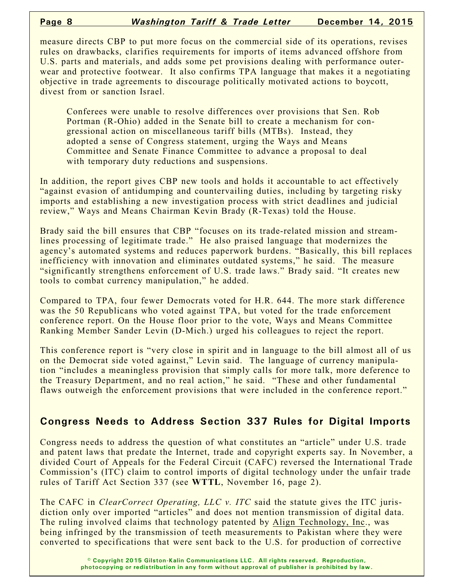measure directs CBP to put more focus on the commercial side of its operations, revises rules on drawbacks, clarifies requirements for imports of items advanced offshore from U.S. parts and materials, and adds some pet provisions dealing with performance outerwear and protective footwear. It also confirms TPA language that makes it a negotiating objective in trade agreements to discourage politically motivated actions to boycott, divest from or sanction Israel.

Conferees were unable to resolve differences over provisions that Sen. Rob Portman (R-Ohio) added in the Senate bill to create a mechanism for congressional action on miscellaneous tariff bills (MTBs). Instead, they adopted a sense of Congress statement, urging the Ways and Means Committee and Senate Finance Committee to advance a proposal to deal with temporary duty reductions and suspensions.

In addition, the report gives CBP new tools and holds it accountable to act effectively "against evasion of antidumping and countervailing duties, including by targeting risky imports and establishing a new investigation process with strict deadlines and judicial review," Ways and Means Chairman Kevin Brady (R-Texas) told the House.

Brady said the bill ensures that CBP "focuses on its trade-related mission and streamlines processing of legitimate trade." He also praised language that modernizes the agency's automated systems and reduces paperwork burdens. "Basically, this bill replaces inefficiency with innovation and eliminates outdated systems," he said. The measure "significantly strengthens enforcement of U.S. trade laws." Brady said. "It creates new tools to combat currency manipulation," he added.

Compared to TPA, four fewer Democrats voted for H.R. 644. The more stark difference was the 50 Republicans who voted against TPA, but voted for the trade enforcement conference report. On the House floor prior to the vote, Ways and Means Committee Ranking Member Sander Levin (D-Mich.) urged his colleagues to reject the report.

This conference report is "very close in spirit and in language to the bill almost all of us on the Democrat side voted against," Levin said. The language of currency manipulation "includes a meaningless provision that simply calls for more talk, more deference to the Treasury Department, and no real action," he said. "These and other fundamental flaws outweigh the enforcement provisions that were included in the conference report."

# **Congress Needs to Address Section 337 Rules for Digital Imports**

Congress needs to address the question of what constitutes an "article" under U.S. trade and patent laws that predate the Internet, trade and copyright experts say. In November, a divided Court of Appeals for the Federal Circuit (CAFC) reversed the International Trade Commission's (ITC) claim to control imports of digital technology under the unfair trade rules of Tariff Act Section 337 (see **WTTL**, November 16, page 2).

The CAFC in *ClearCorrect Operating, LLC v. ITC* said the statute gives the ITC jurisdiction only over imported "articles" and does not mention transmission of digital data. The ruling involved claims that technology patented by Align Technology, Inc., was being infringed by the transmission of teeth measurements to Pakistan where they were converted to specifications that were sent back to the U.S. for production of corrective